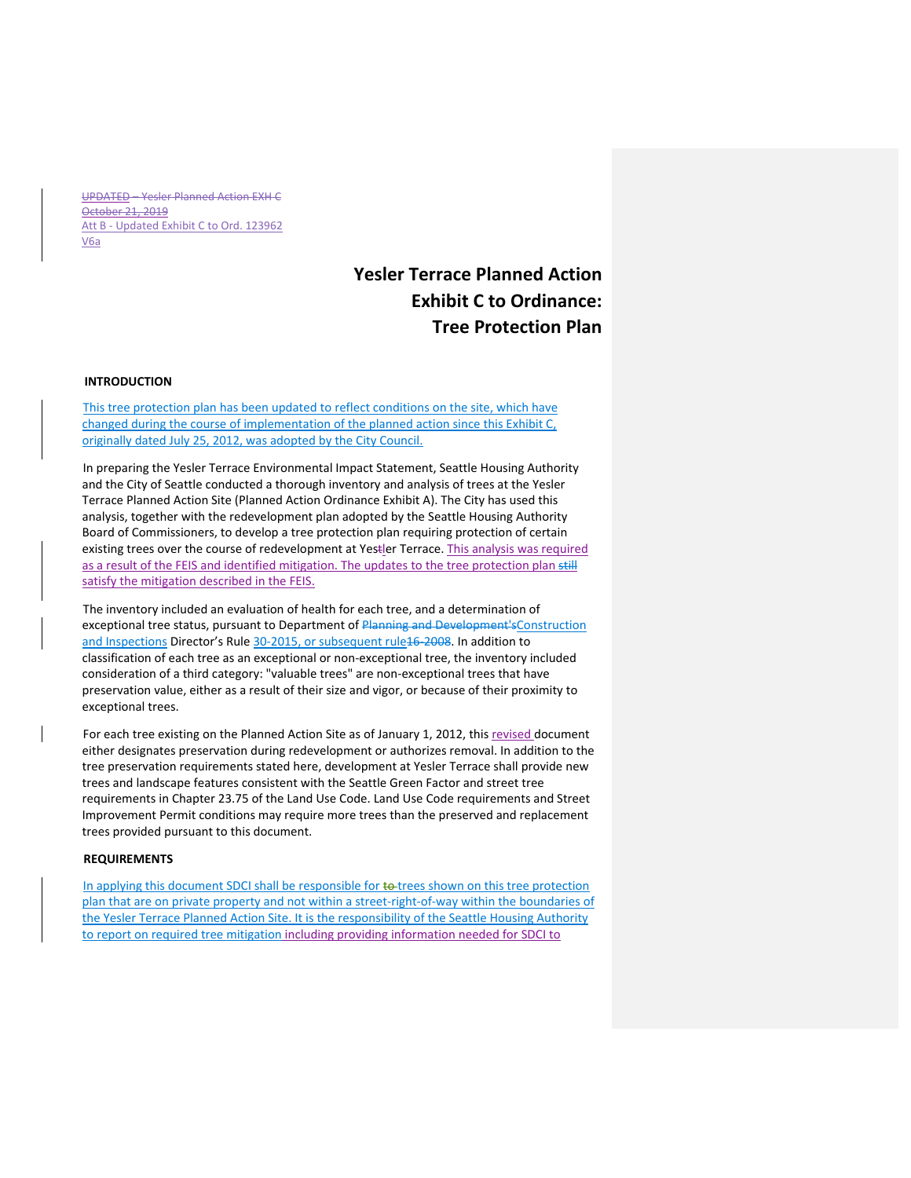UPDATED – Yesler Planned Action EXH C October 21, 2019 Att B - Updated Exhibit C to Ord. 123962 V6a

## **Yesler Terrace Planned Action Exhibit C to Ordinance: Tree Protection Plan**

## **INTRODUCTION**

This tree protection plan has been updated to reflect conditions on the site, which have changed during the course of implementation of the planned action since this Exhibit C, originally dated July 25, 2012, was adopted by the City Council.

In preparing the Yesler Terrace Environmental Impact Statement, Seattle Housing Authority and the City of Seattle conducted a thorough inventory and analysis of trees at the Yesler Terrace Planned Action Site (Planned Action Ordinance Exhibit A). The City has used this analysis, together with the redevelopment plan adopted by the Seattle Housing Authority Board of Commissioners, to develop a tree protection plan requiring protection of certain existing trees over the course of redevelopment at Yestler Terrace. This analysis was required as a result of the FEIS and identified mitigation. The updates to the tree protection plan still satisfy the mitigation described in the FEIS.

The inventory included an evaluation of health for each tree, and a determination of exceptional tree status, pursuant to Department of Planning and Development'sConstruction and Inspections Director's Rule 30-2015, or subsequent rule16-2008. In addition to classification of each tree as an exceptional or non‐exceptional tree, the inventory included consideration of a third category: "valuable trees" are non‐exceptional trees that have preservation value, either as a result of their size and vigor, or because of their proximity to exceptional trees.

For each tree existing on the Planned Action Site as of January 1, 2012, this revised document either designates preservation during redevelopment or authorizes removal. In addition to the tree preservation requirements stated here, development at Yesler Terrace shall provide new trees and landscape features consistent with the Seattle Green Factor and street tree requirements in Chapter 23.75 of the Land Use Code. Land Use Code requirements and Street Improvement Permit conditions may require more trees than the preserved and replacement trees provided pursuant to this document.

## **REQUIREMENTS**

In applying this document SDCI shall be responsible for to trees shown on this tree protection plan that are on private property and not within a street‐right‐of‐way within the boundaries of the Yesler Terrace Planned Action Site. It is the responsibility of the Seattle Housing Authority to report on required tree mitigation including providing information needed for SDCI to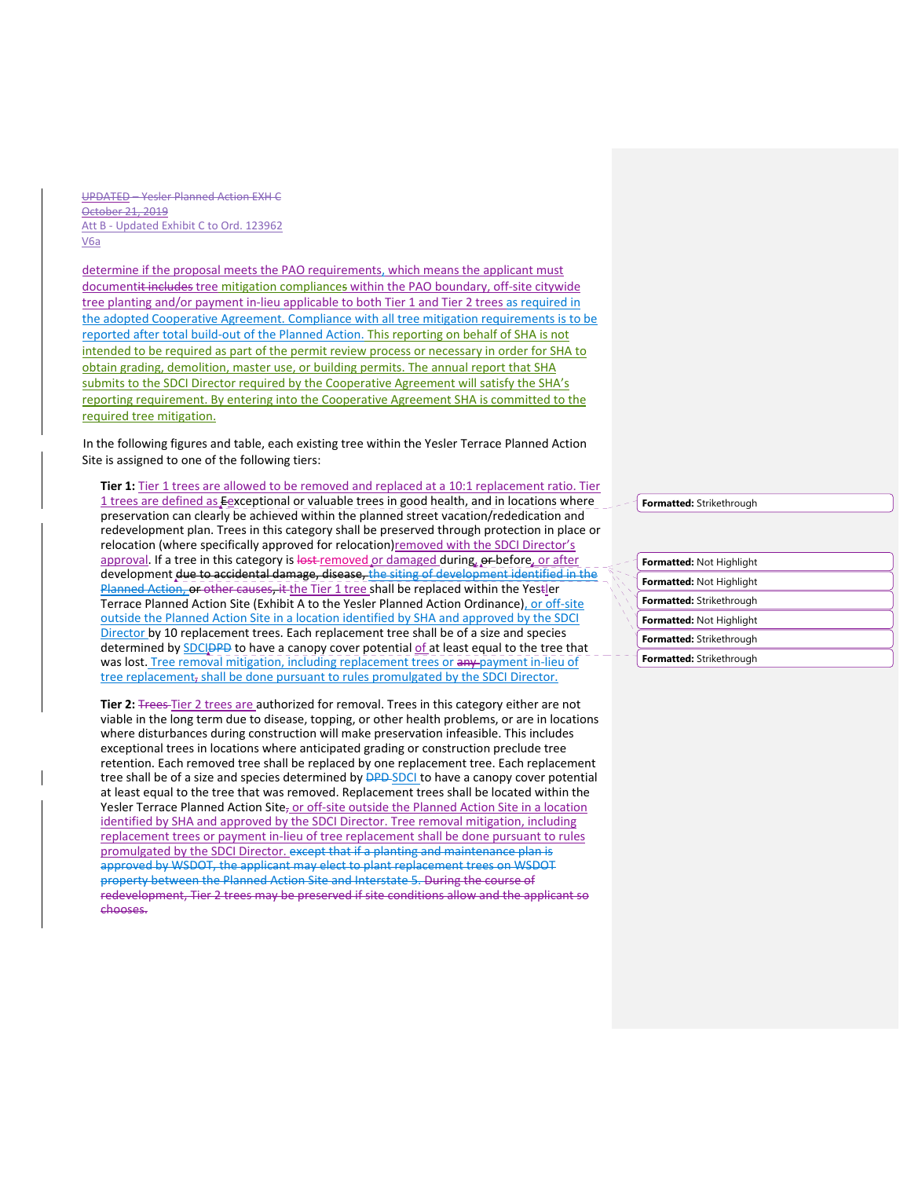UPDATED – Yesler Planned Action EXH C October 21, 2019 Att B ‐ Updated Exhibit C to Ord. 123962 V6a

determine if the proposal meets the PAO requirements, which means the applicant must documentit includes tree mitigation compliances within the PAO boundary, off-site citywide tree planting and/or payment in-lieu applicable to both Tier 1 and Tier 2 trees as required in the adopted Cooperative Agreement. Compliance with all tree mitigation requirements is to be reported after total build‐out of the Planned Action. This reporting on behalf of SHA is not intended to be required as part of the permit review process or necessary in order for SHA to obtain grading, demolition, master use, or building permits. The annual report that SHA submits to the SDCI Director required by the Cooperative Agreement will satisfy the SHA's reporting requirement. By entering into the Cooperative Agreement SHA is committed to the required tree mitigation.

In the following figures and table, each existing tree within the Yesler Terrace Planned Action Site is assigned to one of the following tiers:

**Tier 1:** Tier 1 trees are allowed to be removed and replaced at a 10:1 replacement ratio. Tier 1 trees are defined as Eexceptional or valuable trees in good health, and in locations where preservation can clearly be achieved within the planned street vacation/rededication and redevelopment plan. Trees in this category shall be preserved through protection in place or relocation (where specifically approved for relocation)removed with the SDCI Director's approval. If a tree in this category is lost-removed or damaged during, or before, or after development due to accidental damage, disease, the siting of development identified in the Planned Action, or other causes, it the Tier 1 tree shall be replaced within the Yestler Terrace Planned Action Site (Exhibit A to the Yesler Planned Action Ordinance), or off-site outside the Planned Action Site in a location identified by SHA and approved by the SDCI Director by 10 replacement trees. Each replacement tree shall be of a size and species determined by SDCIDPD to have a canopy cover potential of at least equal to the tree that was lost. Tree removal mitigation, including replacement trees or any payment in-lieu of tree replacement, shall be done pursuant to rules promulgated by the SDCI Director.

Tier 2: **The astept Tier 2** trees are authorized for removal. Trees in this category either are not viable in the long term due to disease, topping, or other health problems, or are in locations where disturbances during construction will make preservation infeasible. This includes exceptional trees in locations where anticipated grading or construction preclude tree retention. Each removed tree shall be replaced by one replacement tree. Each replacement tree shall be of a size and species determined by **DPD-SDCI** to have a canopy cover potential at least equal to the tree that was removed. Replacement trees shall be located within the Yesler Terrace Planned Action Site<sub>r</sub> or off-site outside the Planned Action Site in a location identified by SHA and approved by the SDCI Director. Tree removal mitigation, including replacement trees or payment in‐lieu of tree replacement shall be done pursuant to rules promulgated by the SDCI Director. except that if a planting and maintenance plan is approved by WSDOT, the applicant may elect to plant replacement trees on WSDOT property between the Planned Action Site and Interstate 5. During the course of redevelopment, Tier 2 trees may be preserved if site conditions allow and the applicant so chooses.

**Formatted:** Strikethrough

| Formatted: Not Highlight        |
|---------------------------------|
| Formatted: Not Highlight        |
| Formatted: Strikethrough        |
| Formatted: Not Highlight        |
| <b>Formatted:</b> Strikethrough |
| <b>Formatted:</b> Strikethrough |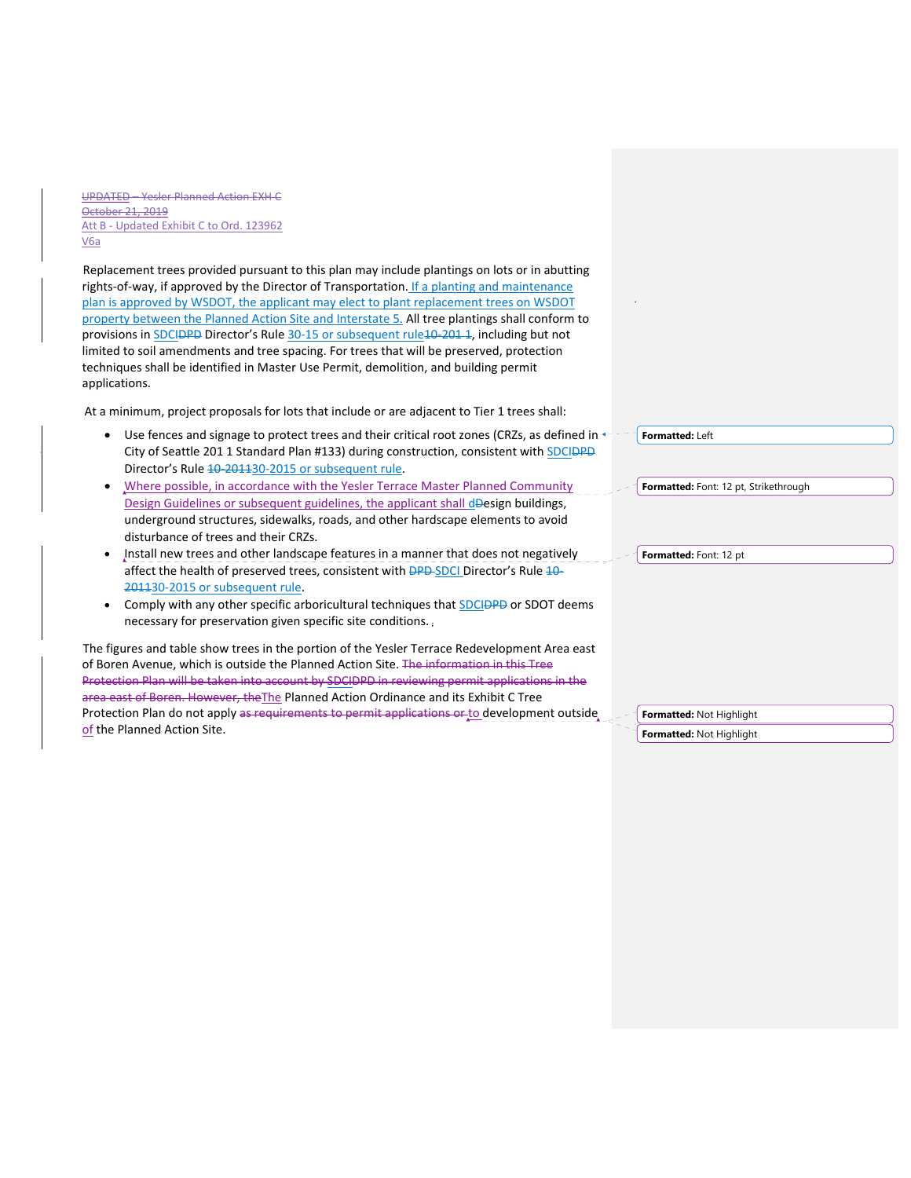UPDATED – Yesler Planned Action EXH C October 21, 2019 Att B - Updated Exhibit C to Ord. 123962 V6a

Replacement trees provided pursuant to this plan may include plantings on lots or in abutting rights-of-way, if approved by the Director of Transportation. If a planting and maintenance plan is approved by WSDOT, the applicant may elect to plant replacement trees on WSDOT property between the Planned Action Site and Interstate 5. All tree plantings shall conform to provisions in SDCIDPD Director's Rule 30-15 or subsequent rule10-201 1, including but not limited to soil amendments and tree spacing. For trees that will be preserved, protection techniques shall be identified in Master Use Permit, demolition, and building permit applications.

At a minimum, project proposals for lots that include or are adjacent to Tier 1 trees shall:

- Use fences and signage to protect trees and their critical root zones (CRZs, as defined in  $\leftarrow$  -City of Seattle 201 1 Standard Plan #133) during construction, consistent with SDCIDPD Director's Rule 10-201130-2015 or subsequent rule.
- Where possible, in accordance with the Yesler Terrace Master Planned Community Design Guidelines or subsequent guidelines, the applicant shall dDesign buildings, underground structures, sidewalks, roads, and other hardscape elements to avoid disturbance of trees and their CRZs.
- Install new trees and other landscape features in a manner that does not negatively affect the health of preserved trees, consistent with **DPD-SDCI** Director's Rule 10-201130‐2015 or subsequent rule.
- Comply with any other specific arboricultural techniques that SDCIDPD or SDOT deems necessary for preservation given specific site conditions.

The figures and table show trees in the portion of the Yesler Terrace Redevelopment Area east of Boren Avenue, which is outside the Planned Action Site. The information in this Tree Protection Plan will be taken into account by SDCIDPD in reviewing permit applications in the area east of Boren. However, the The Planned Action Ordinance and its Exhibit C Tree Protection Plan do not apply as requirements to permit applications or to development outside of the Planned Action Site.

**Formatted:** Left

**Formatted:** Font: 12 pt, Strikethrough

**Formatted:** Font: 12 pt

**Formatted:** Not Highlight

**Formatted:** Not Highlight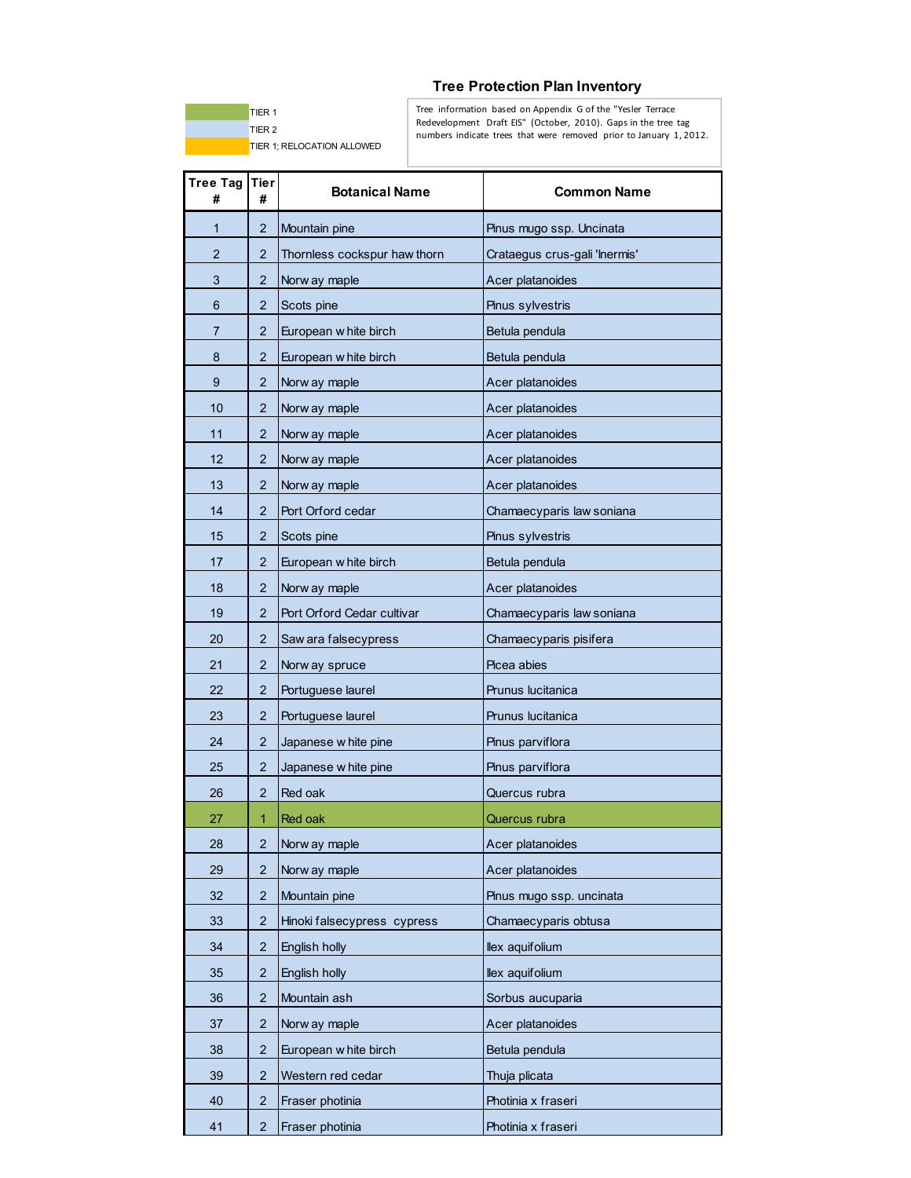

## **Tree Protection Plan Inventory**

Tree information based on Appendix G of the "Yesler Terrace Redevelopment Draft EIS" (October, 2010). Gaps in the tree tag numbers indicate trees that were removed prior to January 1, 2012.

| <b>Tree Tag</b><br># | Tier<br>#      | <b>Botanical Name</b>        | <b>Common Name</b>            |
|----------------------|----------------|------------------------------|-------------------------------|
| 1                    | 2              | Mountain pine                | Pinus mugo ssp. Uncinata      |
| 2                    | 2              | Thornless cockspur haw thorn | Crataegus crus-gali 'Inermis' |
| 3                    | 2              | Norw ay maple                | Acer platanoides              |
| 6                    | 2              | Scots pine                   | Pinus sylvestris              |
| 7                    | 2              | European w hite birch        | Betula pendula                |
| 8                    | 2              | European w hite birch        | Betula pendula                |
| 9                    | 2              | Norw ay maple                | Acer platanoides              |
| 10                   | 2              | Norw ay maple                | Acer platanoides              |
| 11                   | 2              | Norw ay maple                | Acer platanoides              |
| 12                   | 2              | Norw ay maple                | Acer platanoides              |
| 13                   | 2              | Norw ay maple                | Acer platanoides              |
| 14                   | 2              | Port Orford cedar            | Chamaecyparis law soniana     |
| 15                   | 2              | Scots pine                   | Pinus sylvestris              |
| 17                   | 2              | European w hite birch        | Betula pendula                |
| 18                   | 2              | Norw ay maple                | Acer platanoides              |
| 19                   | $\overline{2}$ | Port Orford Cedar cultivar   | Chamaecyparis law soniana     |
| 20                   | 2              | Saw ara falsecypress         | Chamaecyparis pisifera        |
| 21                   | 2              | Norw ay spruce               | Picea abies                   |
| 22                   | 2              | Portuguese laurel            | Prunus lucitanica             |
| 23                   | 2              | Portuguese laurel            | Prunus lucitanica             |
| 24                   | 2              | Japanese w hite pine         | Pinus parviflora              |
| 25                   | 2              | Japanese w hite pine         | Pinus parviflora              |
| 26                   | 2              | Red oak                      | Quercus rubra                 |
| 27                   | 1              | Red oak                      | Quercus rubra                 |
| 28                   | $\overline{c}$ | Norw ay maple                | Acer platanoides              |
| 29                   | 2              | Norw ay maple                | Acer platanoides              |
| 32                   | 2              | Mountain pine                | Pinus mugo ssp. uncinata      |
| 33                   | $\overline{2}$ | Hinoki falsecypress cypress  | Chamaecyparis obtusa          |
| 34                   | $\overline{2}$ | English holly                | llex aquifolium               |
| 35                   | 2              | English holly                | llex aquifolium               |
| 36                   | 2              | Mountain ash                 | Sorbus aucuparia              |
| 37                   | 2              | Norw ay maple                | Acer platanoides              |
| 38                   | 2              | European w hite birch        | Betula pendula                |
| 39                   | 2              | Western red cedar            | Thuja plicata                 |
| 40                   | 2              | Fraser photinia              | Photinia x fraseri            |
| 41                   | $\overline{2}$ | Fraser photinia              | Photinia x fraseri            |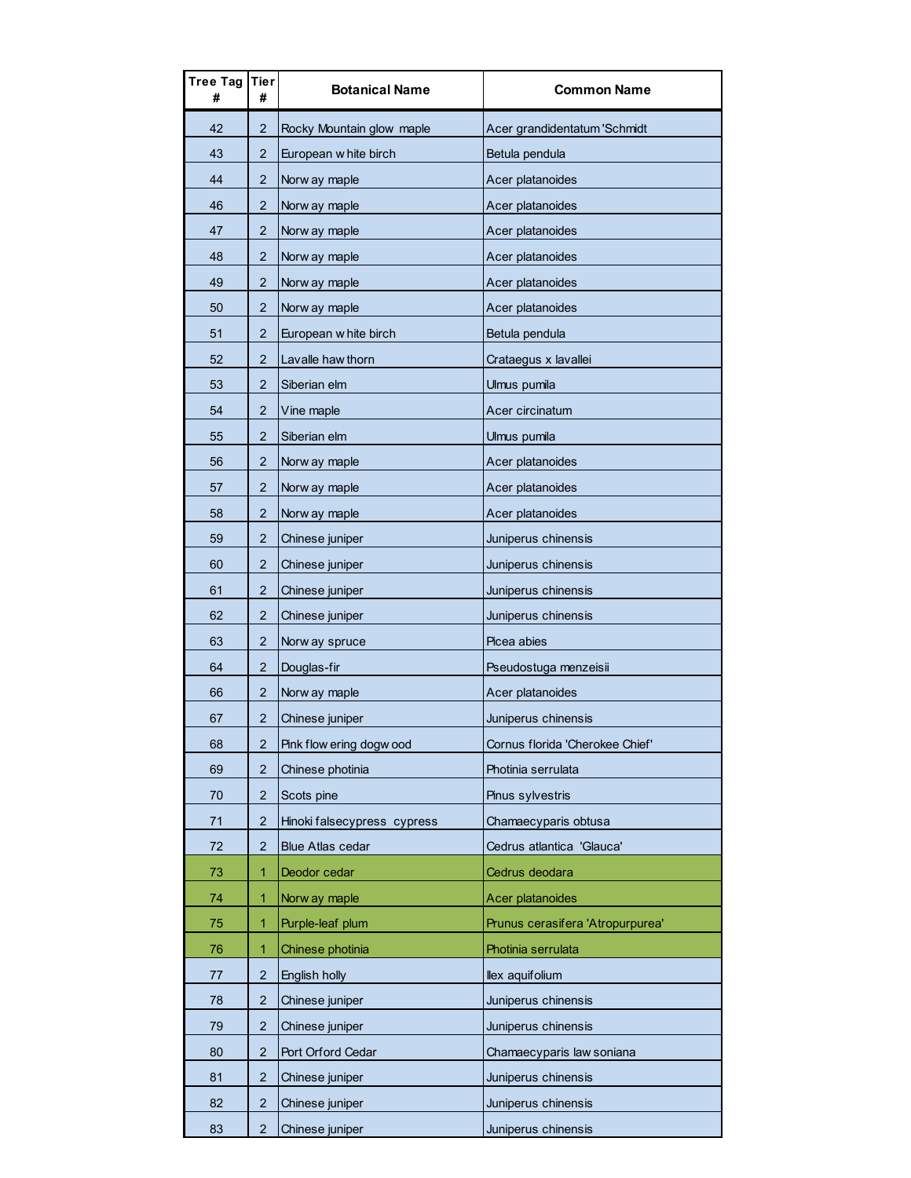| Tree Tag<br># | Tier<br>#      | <b>Botanical Name</b>       | <b>Common Name</b>               |
|---------------|----------------|-----------------------------|----------------------------------|
| 42            | $\overline{2}$ | Rocky Mountain glow maple   | Acer grandidentatum 'Schmidt     |
| 43            | 2              | European w hite birch       | Betula pendula                   |
| 44            | 2.             | Norw ay maple               | Acer platanoides                 |
| 46            | $\overline{2}$ | Norw ay maple               | Acer platanoides                 |
| 47            | 2              | Norw ay maple               | Acer platanoides                 |
| 48            | 2              | Norw ay maple               | Acer platanoides                 |
| 49            | 2              | Norw ay maple               | Acer platanoides                 |
| 50            | $\overline{2}$ | Norw ay maple               | Acer platanoides                 |
| 51            | $\overline{2}$ | European w hite birch       | Betula pendula                   |
| 52            | $\overline{2}$ | Lavalle haw thorn           | Crataegus x lavallei             |
| 53            | 2              | Siberian elm                | Ulmus pumila                     |
| 54            | $\overline{2}$ | Vine maple                  | Acer circinatum                  |
| 55            | 2              | Siberian elm                | Ulmus pumila                     |
| 56            | $\overline{2}$ | Norw ay maple               | Acer platanoides                 |
| 57            | 2              | Norw ay maple               | Acer platanoides                 |
| 58            | $\overline{2}$ | Norw ay maple               | Acer platanoides                 |
| 59            | $\overline{2}$ | Chinese juniper             | Juniperus chinensis              |
| 60            | 2              | Chinese juniper             | Juniperus chinensis              |
| 61            | $\overline{2}$ | Chinese juniper             | Juniperus chinensis              |
| 62            | $\overline{2}$ | Chinese juniper             | Juniperus chinensis              |
| 63            | 2              | Norw ay spruce              | Picea abies                      |
| 64            | 2              | Douglas-fir                 | Pseudostuga menzeisii            |
| 66            | 2              | Norw ay maple               | Acer platanoides                 |
| 67            | 2              | Chinese juniper             | Juniperus chinensis              |
| 68            | 2              | Pink flow ering dogw ood    | Cornus florida 'Cherokee Chief'  |
| 69            | 2              | Chinese photinia            | Photinia serrulata               |
| 70            | 2              | Scots pine                  | Pinus sylvestris                 |
| 71            | $\overline{2}$ | Hinoki falsecypress cypress | Chamaecyparis obtusa             |
| 72            | 2              | <b>Blue Atlas cedar</b>     | Cedrus atlantica 'Glauca'        |
| 73            | 1              | Deodor cedar                | Cedrus deodara                   |
| 74            | 1              | Norw ay maple               | Acer platanoides                 |
| 75            | 1              | Purple-leaf plum            | Prunus cerasifera 'Atropurpurea' |
| 76            | 1              | Chinese photinia            | Photinia serrulata               |
| 77            | 2              | English holly               | llex aquifolium                  |
| 78            | 2              | Chinese juniper             | Juniperus chinensis              |
| 79            | $\overline{2}$ | Chinese juniper             | Juniperus chinensis              |
| 80            | $\overline{2}$ | Port Orford Cedar           | Chamaecyparis law soniana        |
| 81            | 2              | Chinese juniper             | Juniperus chinensis              |
| 82            | 2              | Chinese juniper             | Juniperus chinensis              |
| 83            | $\overline{2}$ | Chinese juniper             | Juniperus chinensis              |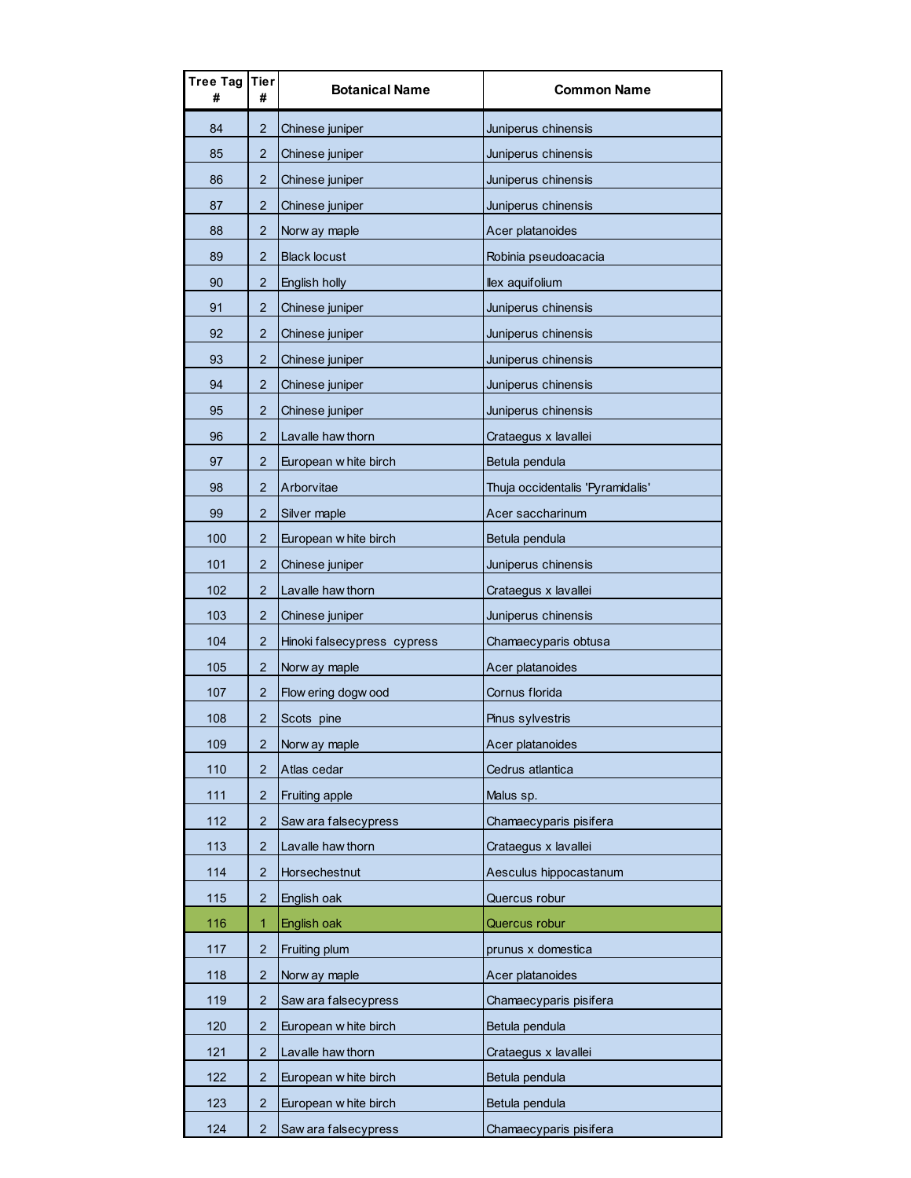| Tree Tag<br># | Tier<br>#      | <b>Botanical Name</b>       | <b>Common Name</b>               |
|---------------|----------------|-----------------------------|----------------------------------|
| 84            | $\overline{2}$ | Chinese juniper             | Juniperus chinensis              |
| 85            | 2              | Chinese juniper             | Juniperus chinensis              |
| 86            | $\overline{2}$ | Chinese juniper             | Juniperus chinensis              |
| 87            | $\overline{2}$ | Chinese juniper             | Juniperus chinensis              |
| 88            | $\overline{2}$ | Norw ay maple               | Acer platanoides                 |
| 89            | 2              | <b>Black locust</b>         | Robinia pseudoacacia             |
| 90            | 2              | English holly               | llex aquifolium                  |
| 91            | $\overline{2}$ | Chinese juniper             | Juniperus chinensis              |
| 92            | $\overline{2}$ | Chinese juniper             | Juniperus chinensis              |
| 93            | $\overline{2}$ | Chinese juniper             | Juniperus chinensis              |
| 94            | 2              | Chinese juniper             | Juniperus chinensis              |
| 95            | $\overline{2}$ | Chinese juniper             | Juniperus chinensis              |
| 96            | $\overline{2}$ | Lavalle haw thorn           | Crataegus x lavallei             |
| 97            | $\overline{2}$ | European w hite birch       | Betula pendula                   |
| 98            | 2              | Arborvitae                  | Thuja occidentalis 'Pyramidalis' |
| 99            | $\overline{2}$ | Silver maple                | Acer saccharinum                 |
| 100           | $\overline{2}$ | European w hite birch       | Betula pendula                   |
| 101           | 2              | Chinese juniper             | Juniperus chinensis              |
| 102           | $\overline{2}$ | Lavalle haw thorn           | Crataegus x lavallei             |
| 103           | $\overline{2}$ | Chinese juniper             | Juniperus chinensis              |
| 104           | $\overline{2}$ | Hinoki falsecypress cypress | Chamaecyparis obtusa             |
| 105           | 2              | Norw ay maple               | Acer platanoides                 |
| 107           | 2              | Flow ering dogw ood         | Cornus florida                   |
| 108           | 2              | Scots pine                  | Pinus sylvestris                 |
| 109           | 2              | Norw ay maple               | Acer platanoides                 |
| 110           | $\overline{2}$ | Atlas cedar                 | Cedrus atlantica                 |
| 111           | 2              | Fruiting apple              | Malus sp.                        |
| 112           | $\overline{2}$ | Saw ara falsecypress        | Chamaecyparis pisifera           |
| 113           | $\overline{2}$ | Lavalle haw thorn           | Crataegus x lavallei             |
| 114           | 2              | Horsechestnut               | Aesculus hippocastanum           |
| 115           | 2              | English oak                 | Quercus robur                    |
| 116           | 1              | English oak                 | Quercus robur                    |
| 117           | 2              | Fruiting plum               | prunus x domestica               |
| 118           | 2              | Norw ay maple               | Acer platanoides                 |
| 119           | 2              | Saw ara falsecypress        | Chamaecyparis pisifera           |
| 120           | $\overline{2}$ | European w hite birch       | Betula pendula                   |
| 121           | $\overline{2}$ | Lavalle haw thorn           | Crataegus x lavallei             |
| 122           | 2              | European w hite birch       | Betula pendula                   |
| 123           | $\overline{c}$ | European w hite birch       | Betula pendula                   |
| 124           | $\overline{2}$ | Saw ara falsecypress        | Chamaecyparis pisifera           |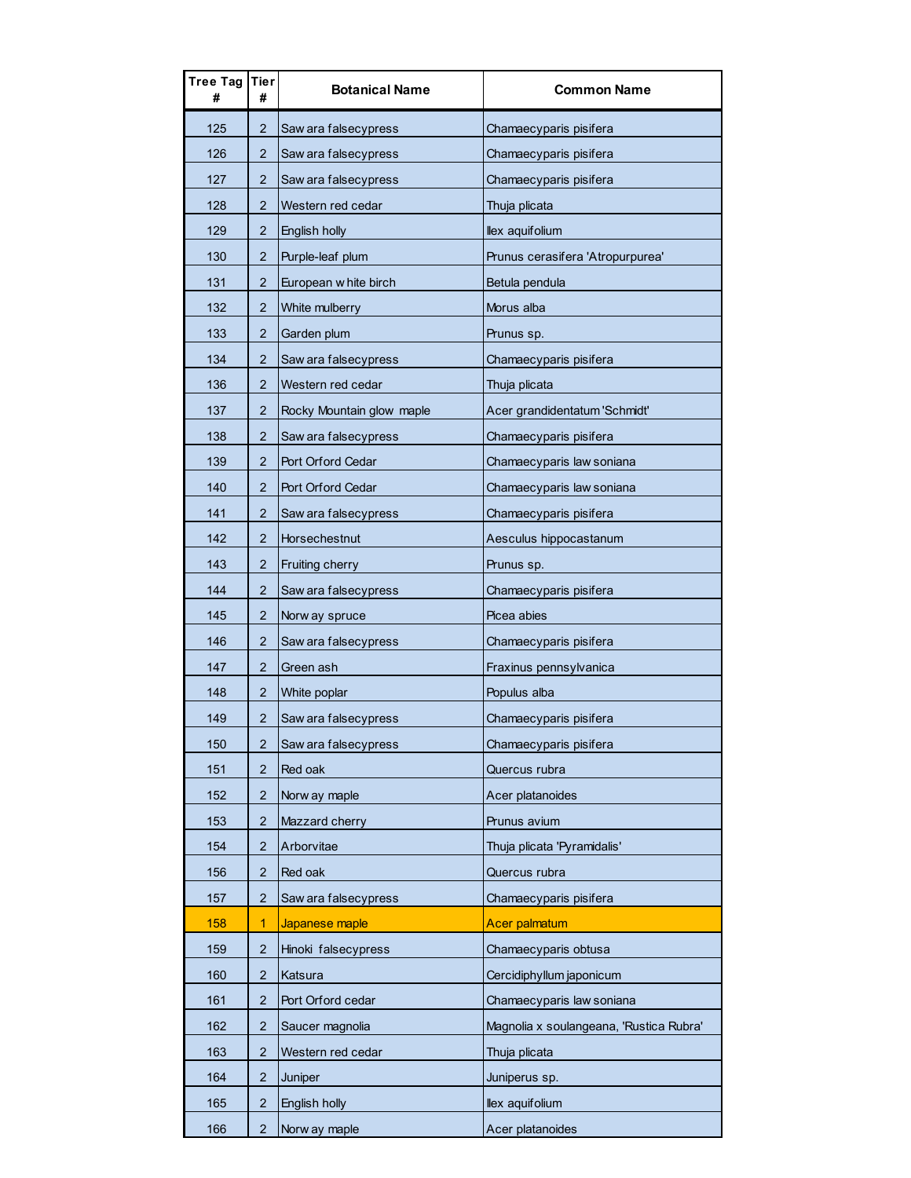| Tree Tag Tier | #                       | <b>Botanical Name</b>     | <b>Common Name</b>                      |
|---------------|-------------------------|---------------------------|-----------------------------------------|
| 125           | 2                       | Saw ara falsecypress      | Chamaecyparis pisifera                  |
| 126           | 2                       | Saw ara falsecypress      | Chamaecyparis pisifera                  |
| 127           | $\overline{2}$          | Saw ara falsecypress      | Chamaecyparis pisifera                  |
| 128           | $\overline{2}$          | Western red cedar         | Thuja plicata                           |
| 129           | 2                       | English holly             | llex aquifolium                         |
| 130           | $\overline{2}$          | Purple-leaf plum          | Prunus cerasifera 'Atropurpurea'        |
| 131           | $\overline{2}$          | European w hite birch     | Betula pendula                          |
| 132           | $\overline{2}$          | White mulberry            | Morus alba                              |
| 133           | 2                       | Garden plum               | Prunus sp.                              |
| 134           | 2                       | Saw ara falsecypress      | Chamaecyparis pisifera                  |
| 136           | 2                       | Western red cedar         | Thuja plicata                           |
| 137           | $\overline{2}$          | Rocky Mountain glow maple | Acer grandidentatum 'Schmidt'           |
| 138           | 2                       | Saw ara falsecypress      | Chamaecyparis pisifera                  |
| 139           | 2                       | Port Orford Cedar         | Chamaecyparis law soniana               |
| 140           | $\overline{2}$          | Port Orford Cedar         | Chamaecyparis law soniana               |
| 141           | 2                       | Saw ara falsecypress      | Chamaecyparis pisifera                  |
| 142           | 2                       | Horsechestnut             | Aesculus hippocastanum                  |
| 143           | 2                       | Fruiting cherry           | Prunus sp.                              |
| 144           | 2                       | Saw ara falsecypress      | Chamaecyparis pisifera                  |
| 145           | $\overline{2}$          | Norw ay spruce            | Picea abies                             |
| 146           | 2                       | Saw ara falsecypress      | Chamaecyparis pisifera                  |
| 147           | 2                       | Green ash                 | Fraxinus pennsylvanica                  |
| 148           | $\overline{2}$          | White poplar              | Populus alba                            |
| 149           | 2                       | Saw ara falsecypress      | Chamaecyparis pisifera                  |
| 150           | $\overline{\mathbf{c}}$ | Saw ara falsecypress      | Chamaecyparis pisifera                  |
| 151           | 2                       | Red oak                   | Quercus rubra                           |
| 152           | $\overline{2}$          | Norw ay maple             | Acer platanoides                        |
| 153           | 2                       | Mazzard cherry            | Prunus avium                            |
| 154           | 2                       | Arborvitae                | Thuja plicata 'Pyramidalis'             |
| 156           | $\overline{2}$          | Red oak                   | Quercus rubra                           |
| 157           | $\overline{2}$          | Saw ara falsecypress      | Chamaecyparis pisifera                  |
| 158           | 1                       | Japanese maple            | Acer palmatum                           |
| 159           | 2                       | Hinoki falsecypress       | Chamaecyparis obtusa                    |
| 160           | 2                       | Katsura                   | Cercidiphyllum japonicum                |
| 161           | $\overline{2}$          | Port Orford cedar         | Chamaecyparis law soniana               |
| 162           | 2                       | Saucer magnolia           | Magnolia x soulangeana, 'Rustica Rubra' |
| 163           | 2                       | Western red cedar         | Thuja plicata                           |
| 164           | $\overline{2}$          | Juniper                   | Juniperus sp.                           |
| 165           | $\overline{2}$          | English holly             | llex aquifolium                         |
| 166           | 2                       | Norw ay maple             | Acer platanoides                        |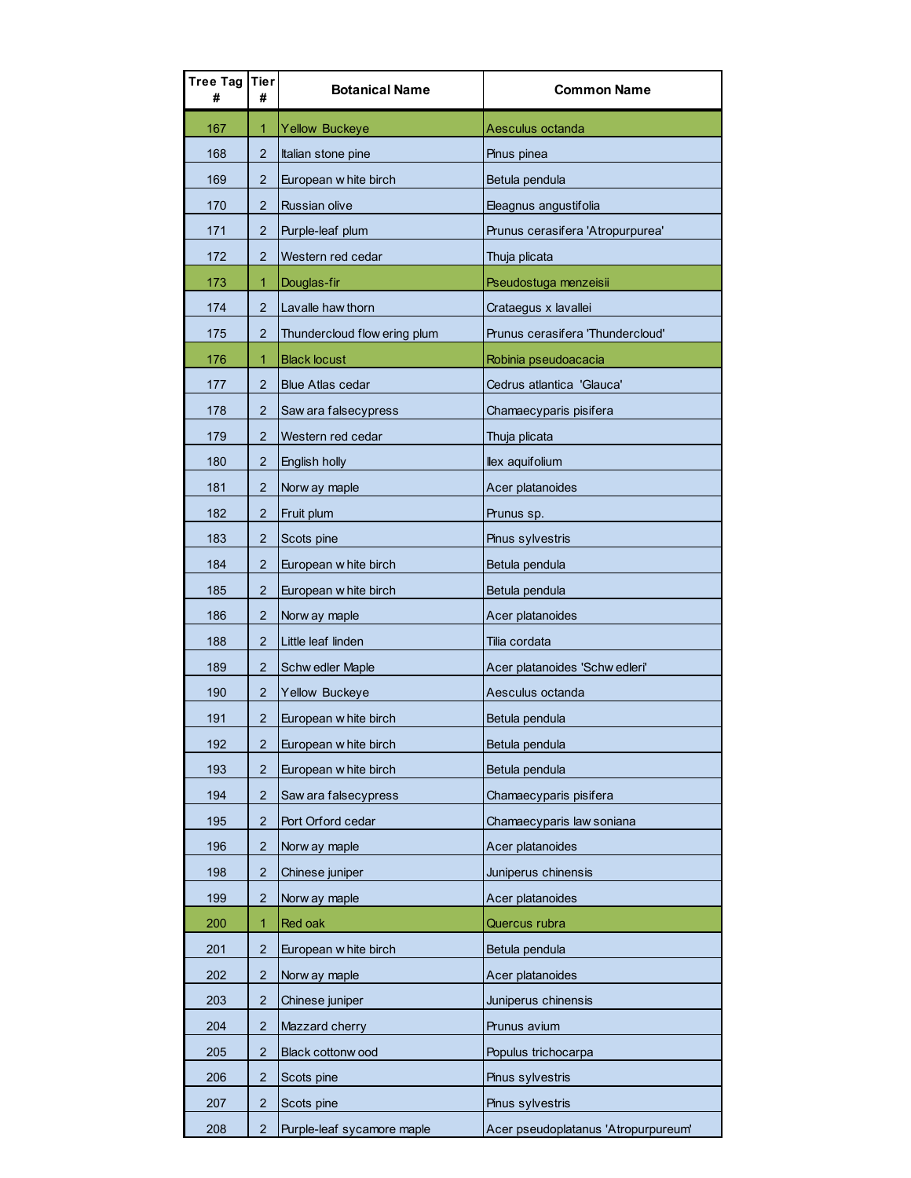| Tree Tag<br># | Tier<br>#               | <b>Botanical Name</b>        | <b>Common Name</b>                  |
|---------------|-------------------------|------------------------------|-------------------------------------|
| 167           | 1.                      | <b>Yellow Buckeye</b>        | Aesculus octanda                    |
| 168           | $\overline{2}$          | Italian stone pine           | Pinus pinea                         |
| 169           | $\overline{2}$          | European w hite birch        | Betula pendula                      |
| 170           | 2                       | <b>Russian olive</b>         | Eleagnus angustifolia               |
| 171           | 2                       | Purple-leaf plum             | Prunus cerasifera 'Atropurpurea'    |
| 172           | $\overline{2}$          | Western red cedar            | Thuja plicata                       |
| 173           | 1                       | Douglas-fir                  | Pseudostuga menzeisii               |
| 174           | $\overline{2}$          | Lavalle haw thorn            | Crataegus x lavallei                |
| 175           | 2                       | Thundercloud flow ering plum | Prunus cerasifera 'Thundercloud'    |
| 176           | 1                       | <b>Black locust</b>          | Robinia pseudoacacia                |
| 177           | 2                       | <b>Blue Atlas cedar</b>      | Cedrus atlantica 'Glauca'           |
| 178           | 2                       | Saw ara falsecypress         | Chamaecyparis pisifera              |
| 179           | 2                       | Western red cedar            | Thuja plicata                       |
| 180           | 2                       | English holly                | llex aquifolium                     |
| 181           | 2                       | Norw ay maple                | Acer platanoides                    |
| 182           | $\overline{2}$          | Fruit plum                   | Prunus sp.                          |
| 183           | 2                       | Scots pine                   | Pinus sylvestris                    |
| 184           | $\overline{2}$          | European w hite birch        | Betula pendula                      |
| 185           | 2                       | European w hite birch        | Betula pendula                      |
| 186           | 2                       | Norw ay maple                | Acer platanoides                    |
| 188           | 2                       | Little leaf linden           | Tilia cordata                       |
| 189           | 2                       | Schw edler Maple             | Acer platanoides 'Schw edleri'      |
| 190           | 2                       | Yellow Buckeye               | Aesculus octanda                    |
| 191           | 2                       | European w hite birch        | Betula pendula                      |
| 192           | $\overline{\mathbf{c}}$ | European w hite birch        | Betula pendula                      |
| 193           | 2                       | European w hite birch        | Betula pendula                      |
| 194           | 2                       | Saw ara falsecypress         | Chamaecyparis pisifera              |
| 195           | 2                       | Port Orford cedar            | Chamaecyparis law soniana           |
| 196           | 2                       | Norw ay maple                | Acer platanoides                    |
| 198           | 2                       | Chinese juniper              | Juniperus chinensis                 |
| 199           | 2                       | Norw ay maple                | Acer platanoides                    |
| 200           | 1                       | Red oak                      | Quercus rubra                       |
| 201           | 2                       | European w hite birch        | Betula pendula                      |
| 202           | 2                       | Norw ay maple                | Acer platanoides                    |
| 203           | $\overline{2}$          | Chinese juniper              | Juniperus chinensis                 |
| 204           | 2                       | Mazzard cherry               | Prunus avium                        |
| 205           | 2                       | Black cottonw ood            | Populus trichocarpa                 |
| 206           | 2                       | Scots pine                   | Pinus sylvestris                    |
| 207           | 2                       | Scots pine                   | Pinus sylvestris                    |
| 208           | 2                       | Purple-leaf sycamore maple   | Acer pseudoplatanus 'Atropurpureum' |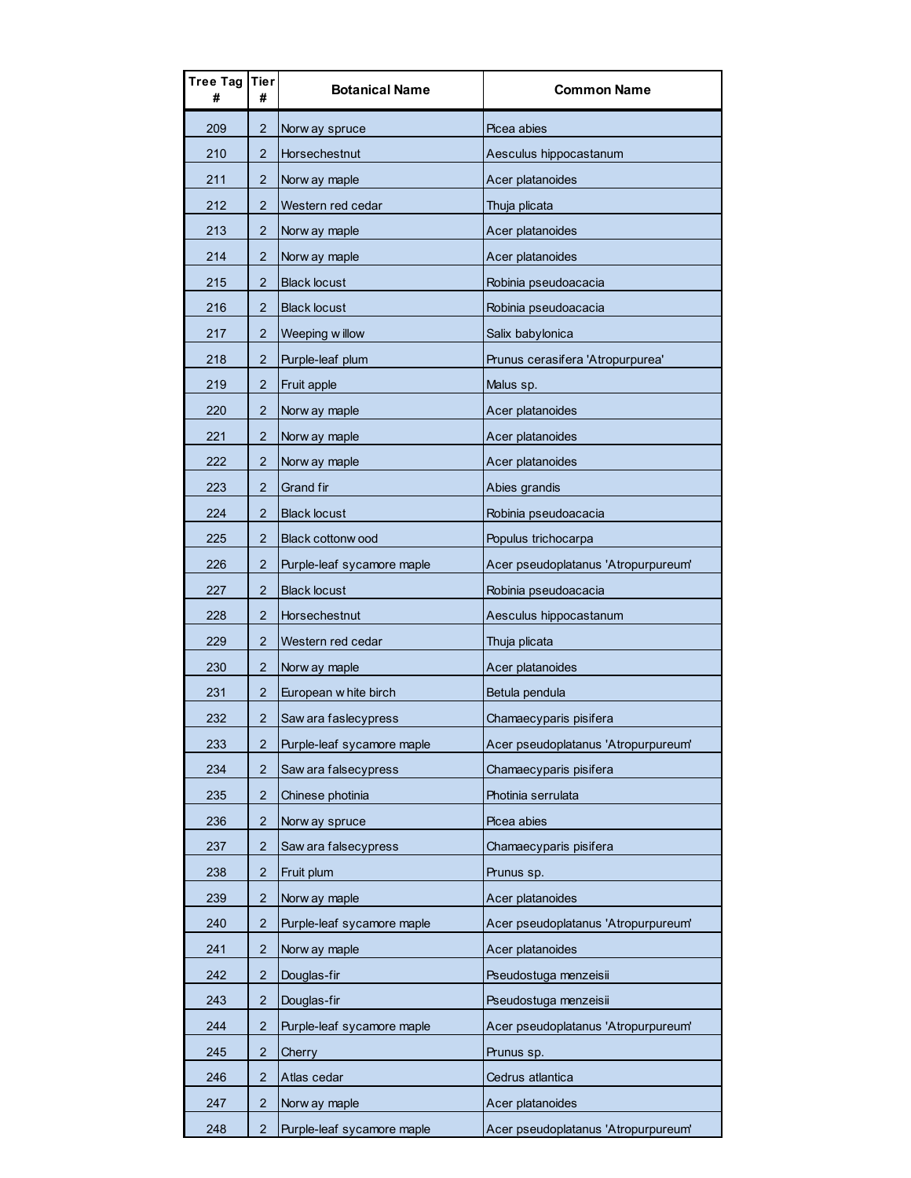| Tree Tag | Tier<br>#      | <b>Botanical Name</b>      | <b>Common Name</b>                  |
|----------|----------------|----------------------------|-------------------------------------|
| 209      | 2              | Norw ay spruce             | Picea abies                         |
| 210      | 2              | Horsechestnut              | Aesculus hippocastanum              |
| 211      | 2              | Norw ay maple              | Acer platanoides                    |
| 212      | $\overline{2}$ | Western red cedar          | Thuja plicata                       |
| 213      | $\overline{2}$ | Norw ay maple              | Acer platanoides                    |
| 214      | 2              | Norw ay maple              | Acer platanoides                    |
| 215      | 2              | <b>Black locust</b>        | Robinia pseudoacacia                |
| 216      | $\overline{2}$ | <b>Black locust</b>        | Robinia pseudoacacia                |
| 217      | 2              | Weeping willow             | Salix babylonica                    |
| 218      | 2              | Purple-leaf plum           | Prunus cerasifera 'Atropurpurea'    |
| 219      | 2              | Fruit apple                | Malus sp.                           |
| 220      | $\overline{2}$ | Norw ay maple              | Acer platanoides                    |
| 221      | 2              | Norw ay maple              | Acer platanoides                    |
| 222      | $\overline{2}$ | Norw ay maple              | Acer platanoides                    |
| 223      | 2              | Grand fir                  | Abies grandis                       |
| 224      | $\overline{2}$ | <b>Black locust</b>        | Robinia pseudoacacia                |
| 225      | 2              | <b>Black cottonw ood</b>   | Populus trichocarpa                 |
| 226      | 2              | Purple-leaf sycamore maple | Acer pseudoplatanus 'Atropurpureum' |
| 227      | $\overline{2}$ | <b>Black locust</b>        | Robinia pseudoacacia                |
| 228      | $\overline{2}$ | Horsechestnut              | Aesculus hippocastanum              |
| 229      | $\overline{2}$ | Western red cedar          | Thuja plicata                       |
| 230      | 2              | Norw ay maple              | Acer platanoides                    |
| 231      | 2              | European w hite birch      | Betula pendula                      |
| 232      | 2              | Saw ara faslecypress       | Chamaecyparis pisifera              |
| 233      | $\overline{2}$ | Purple-leaf sycamore maple | Acer pseudoplatanus 'Atropurpureum' |
| 234      | 2              | Saw ara falsecypress       | Chamaecyparis pisifera              |
| 235      | 2              | Chinese photinia           | Photinia serrulata                  |
| 236      | 2              | Norw ay spruce             | Picea abies                         |
| 237      | 2              | Saw ara falsecypress       | Chamaecyparis pisifera              |
| 238      | $\overline{c}$ | Fruit plum                 | Prunus sp.                          |
| 239      | 2              | Norw ay maple              | Acer platanoides                    |
| 240      | 2              | Purple-leaf sycamore maple | Acer pseudoplatanus 'Atropurpureum' |
| 241      | 2              | Norw ay maple              | Acer platanoides                    |
| 242      | 2              | Douglas-fir                | Pseudostuga menzeisii               |
| 243      | $\overline{c}$ | Douglas-fir                | Pseudostuga menzeisii               |
| 244      | $\overline{2}$ | Purple-leaf sycamore maple | Acer pseudoplatanus 'Atropurpureum' |
| 245      | 2              | Cherry                     | Prunus sp.                          |
| 246      | 2              | Atlas cedar                | Cedrus atlantica                    |
| 247      | 2              | Norw ay maple              | Acer platanoides                    |
| 248      | $\overline{2}$ | Purple-leaf sycamore maple | Acer pseudoplatanus 'Atropurpureum' |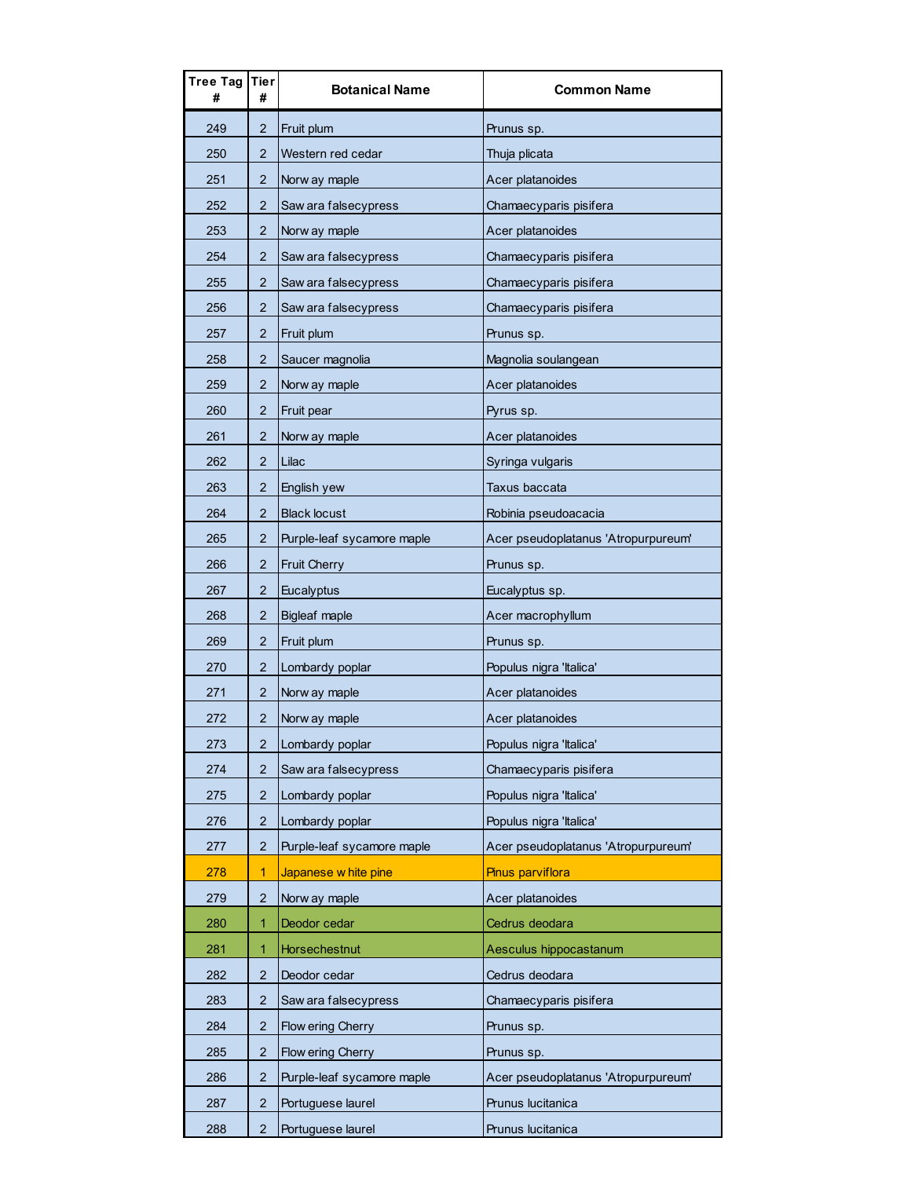| Tree Tag<br># | Tier<br>#      | <b>Botanical Name</b>      | <b>Common Name</b>                  |
|---------------|----------------|----------------------------|-------------------------------------|
| 249           | 2              | Fruit plum                 | Prunus sp.                          |
| 250           | 2              | Western red cedar          | Thuja plicata                       |
| 251           | 2.             | Norw ay maple              | Acer platanoides                    |
| 252           | $\overline{2}$ | Saw ara falsecypress       | Chamaecyparis pisifera              |
| 253           | 2              | Norw ay maple              | Acer platanoides                    |
| 254           | $\overline{2}$ | Saw ara falsecypress       | Chamaecyparis pisifera              |
| 255           | 2              | Saw ara falsecypress       | Chamaecyparis pisifera              |
| 256           | $\overline{2}$ | Saw ara falsecypress       | Chamaecyparis pisifera              |
| 257           | $\overline{2}$ | Fruit plum                 | Prunus sp.                          |
| 258           | 2              | Saucer magnolia            | Magnolia soulangean                 |
| 259           | 2              | Norw ay maple              | Acer platanoides                    |
| 260           | $\overline{2}$ | Fruit pear                 | Pyrus sp.                           |
| 261           | 2              | Norw ay maple              | Acer platanoides                    |
| 262           | $\overline{2}$ | Lilac                      | Syringa vulgaris                    |
| 263           | 2              | English yew                | Taxus baccata                       |
| 264           | $\overline{2}$ | <b>Black locust</b>        | Robinia pseudoacacia                |
| 265           | 2              | Purple-leaf sycamore maple | Acer pseudoplatanus 'Atropurpureum' |
| 266           | 2              | <b>Fruit Cherry</b>        | Prunus sp.                          |
| 267           | 2              | Eucalyptus                 | Eucalyptus sp.                      |
| 268           | $\overline{2}$ | <b>Bigleaf maple</b>       | Acer macrophyllum                   |
| 269           | 2              | Fruit plum                 | Prunus sp.                          |
| 270           | $\overline{2}$ | Lombardy poplar            | Populus nigra 'Italica'             |
| 271           | 2              | Norw ay maple              | Acer platanoides                    |
| 272           | $\overline{2}$ | Norw ay maple              | Acer platanoides                    |
| 273           | 2              | Lombardy poplar            | Populus nigra 'Italica'             |
| 274           | 2              | Saw ara falsecypress       | Chamaecyparis pisifera              |
| 275           | 2              | Lombardy poplar            | Populus nigra 'Italica'             |
| 276           | $\overline{2}$ | Lombardy poplar            | Populus nigra 'Italica'             |
| 277           | 2              | Purple-leaf sycamore maple | Acer pseudoplatanus 'Atropurpureum' |
| 278           | 1              | Japanese w hite pine       | <b>Pinus parviflora</b>             |
| 279           | 2              | Norw ay maple              | Acer platanoides                    |
| 280           | 1              | Deodor cedar               | Cedrus deodara                      |
| 281           | 1              | Horsechestnut              | Aesculus hippocastanum              |
| 282           | 2              | Deodor cedar               | Cedrus deodara                      |
| 283           | 2              | Saw ara falsecypress       | Chamaecyparis pisifera              |
| 284           | $\overline{2}$ | Flow ering Cherry          | Prunus sp.                          |
| 285           | 2              | Flow ering Cherry          | Prunus sp.                          |
| 286           | $\overline{2}$ | Purple-leaf sycamore maple | Acer pseudoplatanus 'Atropurpureum' |
| 287           | 2              | Portuguese laurel          | Prunus lucitanica                   |
| 288           | $\overline{2}$ | Portuguese laurel          | Prunus lucitanica                   |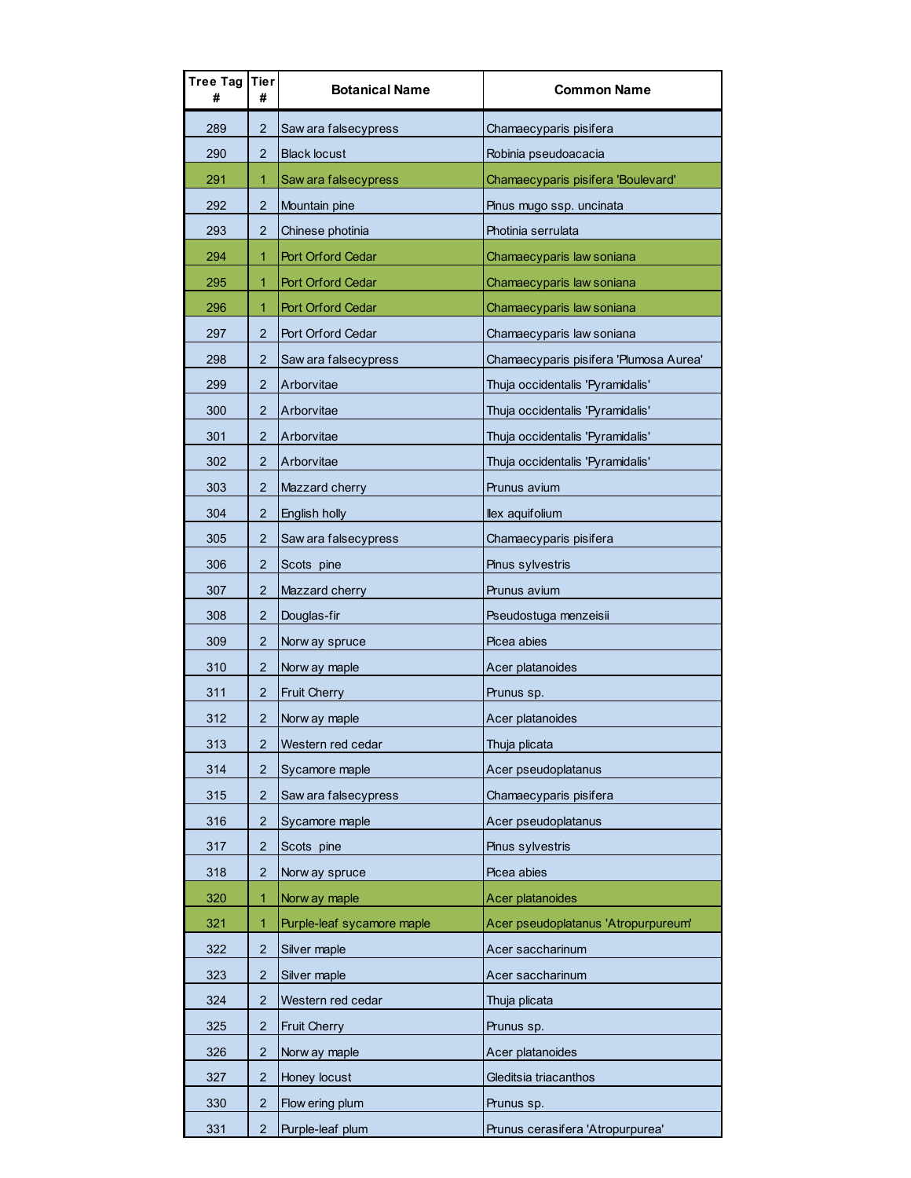| Tree Tag<br># | Tier<br>#      | <b>Botanical Name</b>      | <b>Common Name</b>                     |
|---------------|----------------|----------------------------|----------------------------------------|
| 289           | 2              | Saw ara falsecypress       | Chamaecyparis pisifera                 |
| 290           | 2              | <b>Black locust</b>        | Robinia pseudoacacia                   |
| 291           | 1              | Saw ara falsecypress       | Chamaecyparis pisifera 'Boulevard'     |
| 292           | $\overline{2}$ | Mountain pine              | Pinus mugo ssp. uncinata               |
| 293           | 2              | Chinese photinia           | Photinia serrulata                     |
| 294           | 1              | Port Orford Cedar          | Chamaecyparis law soniana              |
| 295           | 1              | <b>Port Orford Cedar</b>   | Chamaecyparis law soniana              |
| 296           | 1              | Port Orford Cedar          | Chamaecyparis law soniana              |
| 297           | $\overline{2}$ | Port Orford Cedar          | Chamaecyparis law soniana              |
| 298           | $\overline{2}$ | Saw ara falsecypress       | Chamaecyparis pisifera 'Plumosa Aurea' |
| 299           | $\overline{2}$ | Arborvitae                 | Thuja occidentalis 'Pyramidalis'       |
| 300           | $\overline{2}$ | Arborvitae                 | Thuja occidentalis 'Pyramidalis'       |
| 301           | $\overline{2}$ | Arborvitae                 | Thuja occidentalis 'Pyramidalis'       |
| 302           | $\overline{2}$ | Arborvitae                 | Thuja occidentalis 'Pyramidalis'       |
| 303           | 2              | Mazzard cherry             | Prunus avium                           |
| 304           | $\overline{2}$ | English holly              | llex aquifolium                        |
| 305           | $\overline{2}$ | Saw ara falsecypress       | Chamaecyparis pisifera                 |
| 306           | 2              | Scots pine                 | Pinus sylvestris                       |
| 307           | 2              | Mazzard cherry             | Prunus avium                           |
| 308           | $\overline{2}$ | Douglas-fir                | Pseudostuga menzeisii                  |
| 309           | $\overline{2}$ | Norw ay spruce             | Picea abies                            |
| 310           | 2              | Norw ay maple              | Acer platanoides                       |
| 311           | 2              | <b>Fruit Cherry</b>        | Prunus sp.                             |
| 312           | $\overline{2}$ | Norw ay maple              | Acer platanoides                       |
| 313           | 2              | Western red cedar          | Thuja plicata                          |
| 314           | 2              | Sycamore maple             | Acer pseudoplatanus                    |
| 315           | 2              | Saw ara falsecypress       | Chamaecyparis pisifera                 |
| 316           | $\overline{2}$ | Sycamore maple             | Acer pseudoplatanus                    |
| 317           | 2              | Scots pine                 | Pinus sylvestris                       |
| 318           | 2              | Norw ay spruce             | Picea abies                            |
| 320           | 1              | Norw ay maple              | Acer platanoides                       |
| 321           | 1              | Purple-leaf sycamore maple | Acer pseudoplatanus 'Atropurpureum'    |
| 322           | 2              | Silver maple               | Acer saccharinum                       |
| 323           | 2              | Silver maple               | Acer saccharinum                       |
| 324           | 2              | Western red cedar          | Thuja plicata                          |
| 325           | $\overline{2}$ | <b>Fruit Cherry</b>        | Prunus sp.                             |
| 326           | $\overline{2}$ | Norw ay maple              | Acer platanoides                       |
| 327           | $\overline{2}$ | Honey locust               | Gleditsia triacanthos                  |
| 330           | 2              | Flow ering plum            | Prunus sp.                             |
| 331           | $\overline{2}$ | Purple-leaf plum           | Prunus cerasifera 'Atropurpurea'       |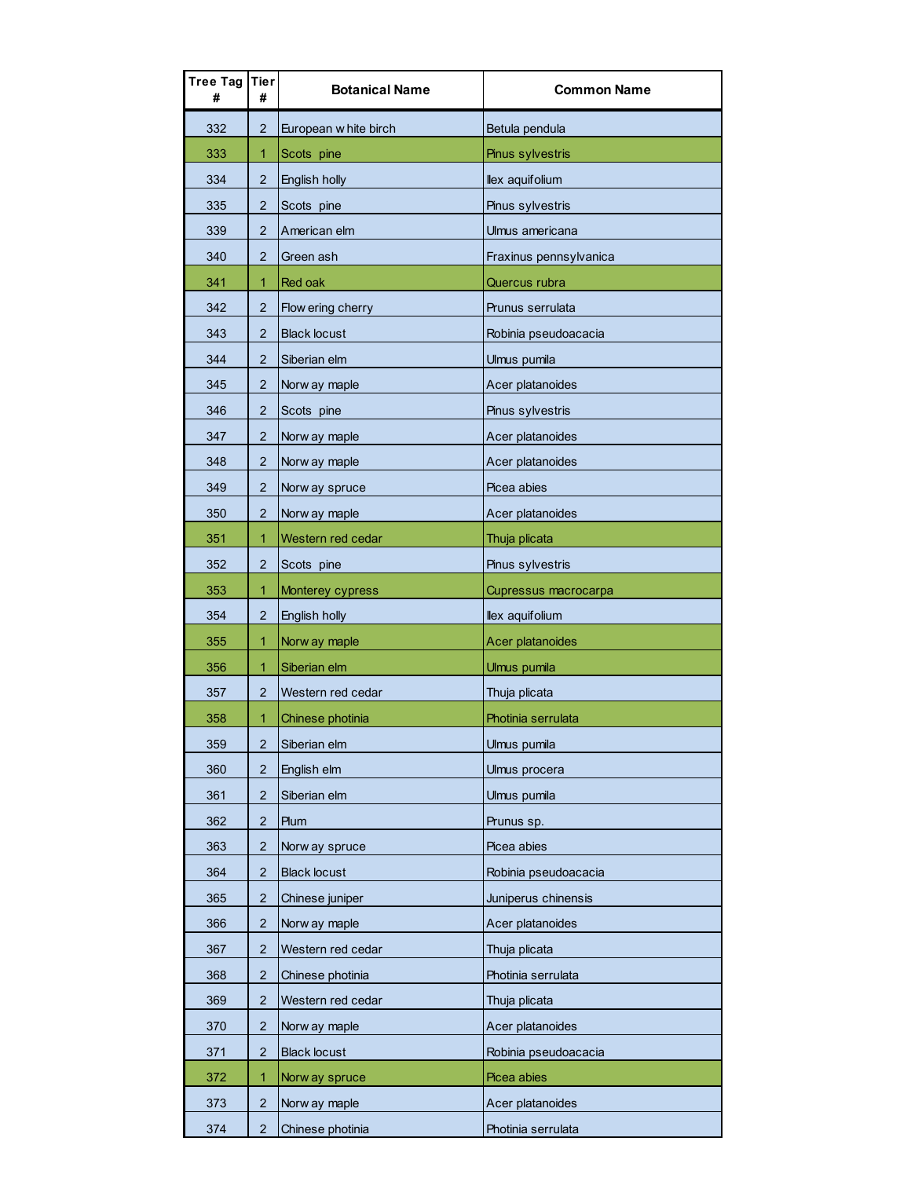| Tree Tag  <br># | Tier<br>#               | <b>Botanical Name</b> | <b>Common Name</b>     |
|-----------------|-------------------------|-----------------------|------------------------|
| 332             | 2                       | European w hite birch | Betula pendula         |
| 333             | 1                       | Scots pine            | Pinus sylvestris       |
| 334             | 2                       | English holly         | llex aquifolium        |
| 335             | $\overline{2}$          | Scots pine            | Pinus sylvestris       |
| 339             | 2                       | American elm          | Ulmus americana        |
| 340             | $\overline{2}$          | Green ash             | Fraxinus pennsylvanica |
| 341             | 1                       | Red oak               | Quercus rubra          |
| 342             | $\overline{2}$          | Flow ering cherry     | Prunus serrulata       |
| 343             | 2                       | <b>Black locust</b>   | Robinia pseudoacacia   |
| 344             | $\overline{2}$          | Siberian elm          | Ulmus pumila           |
| 345             | $\overline{2}$          | Norw ay maple         | Acer platanoides       |
| 346             | 2                       | Scots pine            | Pinus sylvestris       |
| 347             | 2                       | Norw ay maple         | Acer platanoides       |
| 348             | 2                       | Norw ay maple         | Acer platanoides       |
| 349             | 2                       | Norw ay spruce        | Picea abies            |
| 350             | 2                       | Norw ay maple         | Acer platanoides       |
| 351             | 1                       | Western red cedar     | Thuja plicata          |
| 352             | 2                       | Scots pine            | Pinus sylvestris       |
| 353             | 1                       | Monterey cypress      | Cupressus macrocarpa   |
| 354             | 2                       | English holly         | llex aquifolium        |
| 355             | 1                       | Norw ay maple         | Acer platanoides       |
| 356             | 1                       | Siberian elm          | Ulmus pumila           |
| 357             | $\overline{2}$          | Western red cedar     | Thuja plicata          |
| 358             | 1                       | Chinese photinia      | Photinia serrulata     |
| 359             | $\overline{\mathbf{c}}$ | Siberian elm          | Ulmus pumila           |
| 360             | 2                       | English elm           | Ulmus procera          |
| 361             | $\overline{2}$          | Siberian elm          | Ulmus pumila           |
| 362             | $\overline{2}$          | Plum                  | Prunus sp.             |
| 363             | 2                       | Norw ay spruce        | Picea abies            |
| 364             | 2                       | <b>Black locust</b>   | Robinia pseudoacacia   |
| 365             | 2                       | Chinese juniper       | Juniperus chinensis    |
| 366             | 2                       | Norw ay maple         | Acer platanoides       |
| 367             | 2                       | Western red cedar     | Thuja plicata          |
| 368             | 2                       | Chinese photinia      | Photinia serrulata     |
| 369             | $\overline{2}$          | Western red cedar     | Thuja plicata          |
| 370             | $\overline{2}$          | Norw ay maple         | Acer platanoides       |
| 371             | $\overline{2}$          | <b>Black locust</b>   | Robinia pseudoacacia   |
| 372             | 1                       | Norw ay spruce        | Picea abies            |
| 373             | $\overline{c}$          | Norw ay maple         | Acer platanoides       |
| 374             | $\overline{2}$          | Chinese photinia      | Photinia serrulata     |